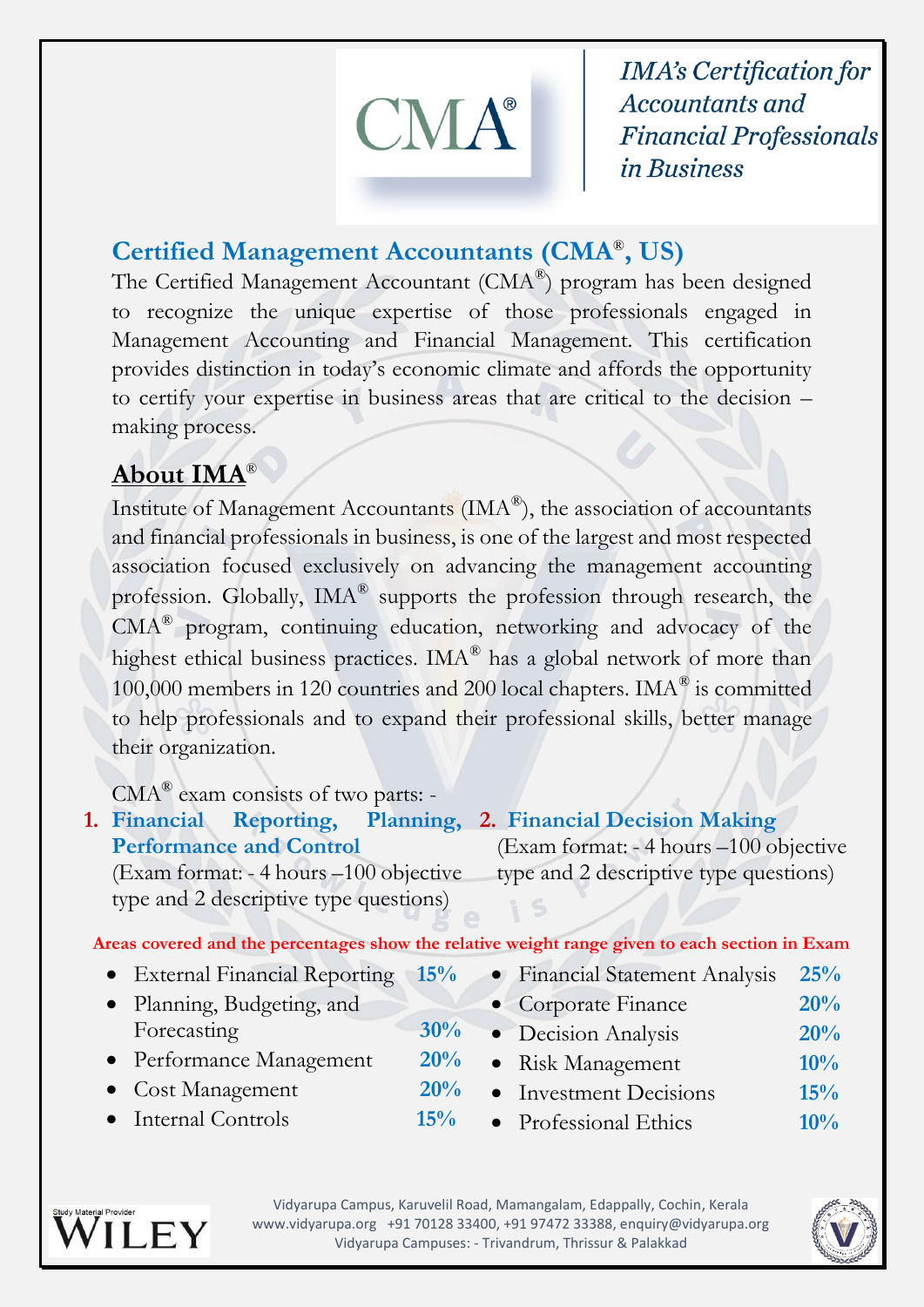

**IMA's Certification for Accountants and Financial Professionals** *in Business* 

### **Certified Management Accountants (CMA**® **, US)**

The Certified Management Accountant ( $CMA^{\circledast}$ ) program has been designed to recognize the unique expertise of those professionals engaged in Management Accounting and Financial Management. This certification provides distinction in today's economic climate and affords the opportunity to certify your expertise in business areas that are critical to the decision – making process.

# **About IMA**®

Institute of Management Accountants (IMA®), the association of accountants and financial professionals in business, is one of the largest and most respected association focused exclusively on advancing the management accounting profession. Globally, IMA® supports the profession through research, the CMA® program, continuing education, networking and advocacy of the highest ethical business practices. IMA® has a global network of more than 100,000 members in 120 countries and 200 local chapters. IMA® is committed to help professionals and to expand their professional skills, better manage their organization.

CMA<sup>®</sup> exam consists of two parts: -

| 1. Financial Reporting, Planning, 2. Financial Decision Making |                                        |
|----------------------------------------------------------------|----------------------------------------|
| <b>Performance and Control</b>                                 | (Exam format: - 4 hours –100 objective |
| (Exam format: - 4 hours –100 objective                         | type and 2 descriptive type questions) |
| type and 2 descriptive type questions)                         |                                        |

**Areas covered and the percentages show the relative weight range given to each section in Exam**

- External Financial Reporting **15%**
- Planning, Budgeting, and Forecasting 30<sup>%</sup>
- Performance Management **20%**
- Cost Management **20%**
- Internal Controls **15%**
- Financial Statement Analysis **25%** Corporate Finance **20%** Decision Analysis **20%** Risk Management **10%** • Investment Decisions **15%**
- Professional Ethics **10%**



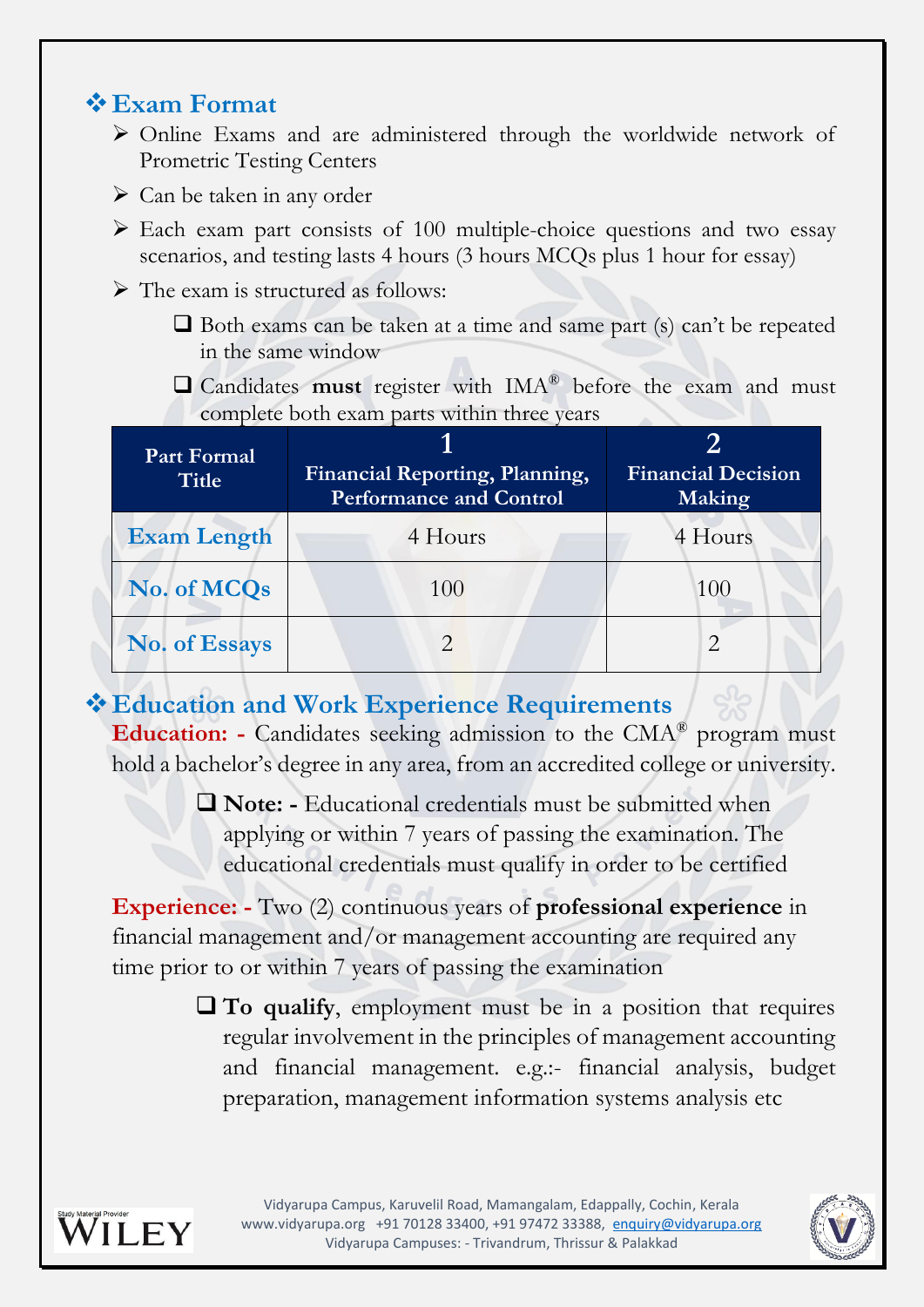### **Exam Format**

- Online Exams and are administered through the worldwide network of Prometric Testing Centers
- $\triangleright$  Can be taken in any order
- $\triangleright$  Each exam part consists of 100 multiple-choice questions and two essay scenarios, and testing lasts 4 hours (3 hours MCQs plus 1 hour for essay)
- $\triangleright$  The exam is structured as follows:
	- $\Box$  Both exams can be taken at a time and same part (s) can't be repeated in the same window
	- Candidates **must** register with IMA® before the exam and must complete both exam parts within three years

| <b>Part Formal</b><br><b>Title</b> | Financial Reporting, Planning,<br><b>Performance and Control</b> | <b>Financial Decision</b><br>Making |
|------------------------------------|------------------------------------------------------------------|-------------------------------------|
| <b>Exam Length</b>                 | 4 Hours                                                          | 4 Hours                             |
| No. of MCQs                        | 100                                                              | 100                                 |
| No. of Essays                      |                                                                  |                                     |

**Education and Work Experience Requirements Education: -** Candidates seeking admission to the CMA® program must hold a bachelor's degree in any area, from an accredited college or university.

> **Note: -** Educational credentials must be submitted when applying or within 7 years of passing the examination. The educational credentials must qualify in order to be certified

**Experience: -** Two (2) continuous years of **professional experience** in financial management and/or management accounting are required any time prior to or within 7 years of passing the examination

> **To qualify**, employment must be in a position that requires regular involvement in the principles of management accounting and financial management. e.g.:- financial analysis, budget preparation, management information systems analysis etc



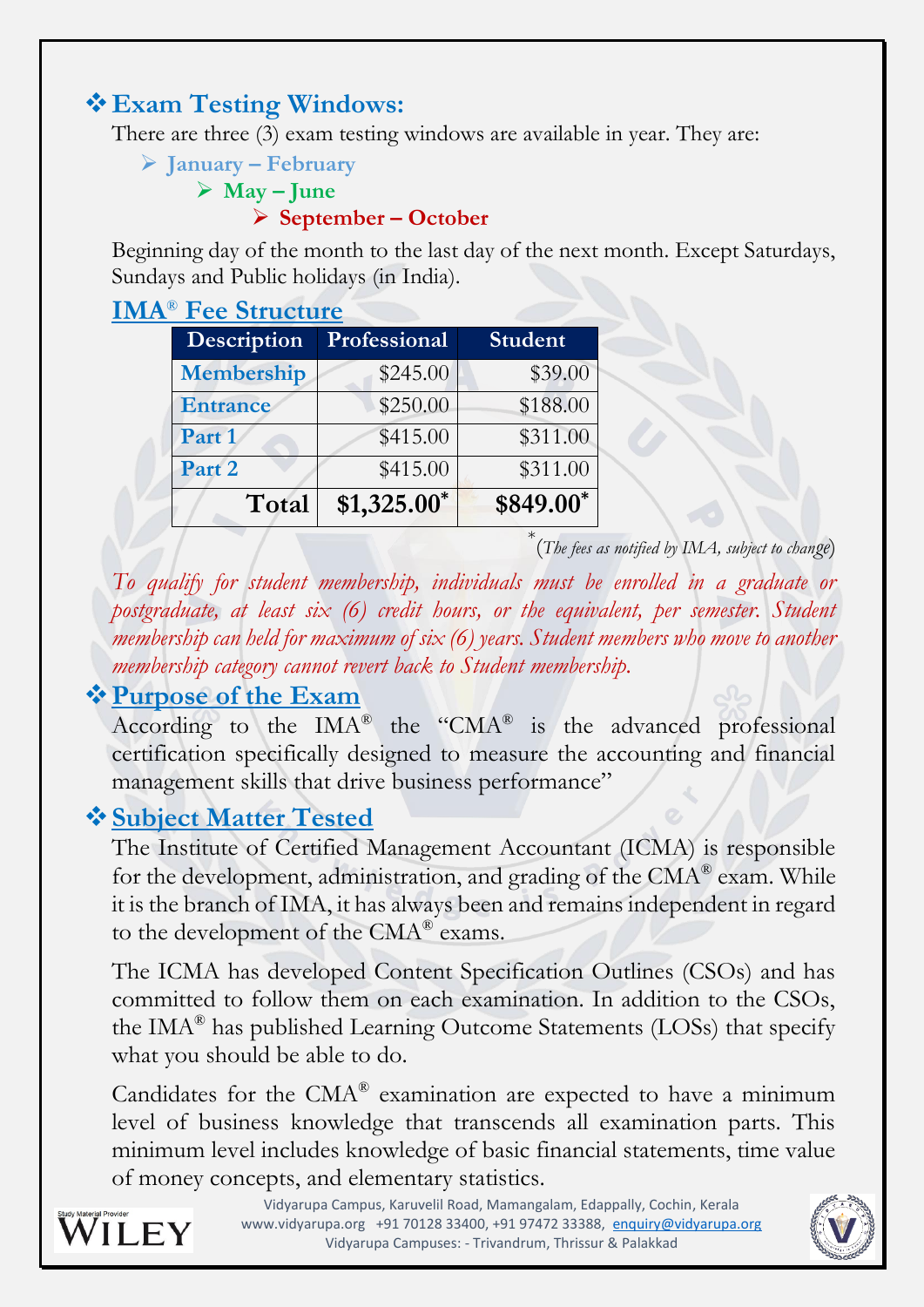### **Exam Testing Windows:**

There are three (3) exam testing windows are available in year. They are:

**January – February**

#### $\triangleright$  **May – June**

**September – October**

Beginning day of the month to the last day of the next month. Except Saturdays, Sundays and Public holidays (in India).

| <b>IMA<sup>®</sup></b> Fee Structure |              |                |
|--------------------------------------|--------------|----------------|
| Description                          | Professional | <b>Student</b> |
| Membership                           | \$245.00     | \$39.00        |
| <b>Entrance</b>                      | \$250.00     | \$188.00       |
| Part 1                               | \$415.00     | \$311.00       |
| Part 2                               | \$415.00     | \$311.00       |
| Total                                | $$1,325.00*$ | \$849.00*      |

\* (*The fees as notified by IMA, subject to change*)

*To qualify for student membership, individuals must be enrolled in a graduate or postgraduate, at least six (6) credit hours, or the equivalent, per semester. Student membership can held for maximum of six (6) years. Student members who move to another membership category cannot revert back to Student membership.*

### **Purpose of the Exam**

According to the  $IMA^{\circledR}$  the "CMA $^{\circledR}$  is the advanced professional certification specifically designed to measure the accounting and financial management skills that drive business performance"

# **Subject Matter Tested**

The Institute of Certified Management Accountant (ICMA) is responsible for the development, administration, and grading of the CMA® exam. While it is the branch of IMA, it has always been and remains independent in regard to the development of the  $\text{CMA}^{\textcircled{\tiny{\text{B}}}}$  exams.

The ICMA has developed Content Specification Outlines (CSOs) and has committed to follow them on each examination. In addition to the CSOs, the IMA® has published Learning Outcome Statements (LOSs) that specify what you should be able to do.

Candidates for the CMA® examination are expected to have a minimum level of business knowledge that transcends all examination parts. This minimum level includes knowledge of basic financial statements, time value of money concepts, and elementary statistics.



Vidyarupa Campus, Karuvelil Road, Mamangalam, Edappally, Cochin, Kerala www.vidyarupa.org +91 70128 33400, +91 97472 33388, [enquiry@vidyarupa.org](mailto:enquiry@vidyarupa.org) Vidyarupa Campuses: - Trivandrum, Thrissur & Palakkad